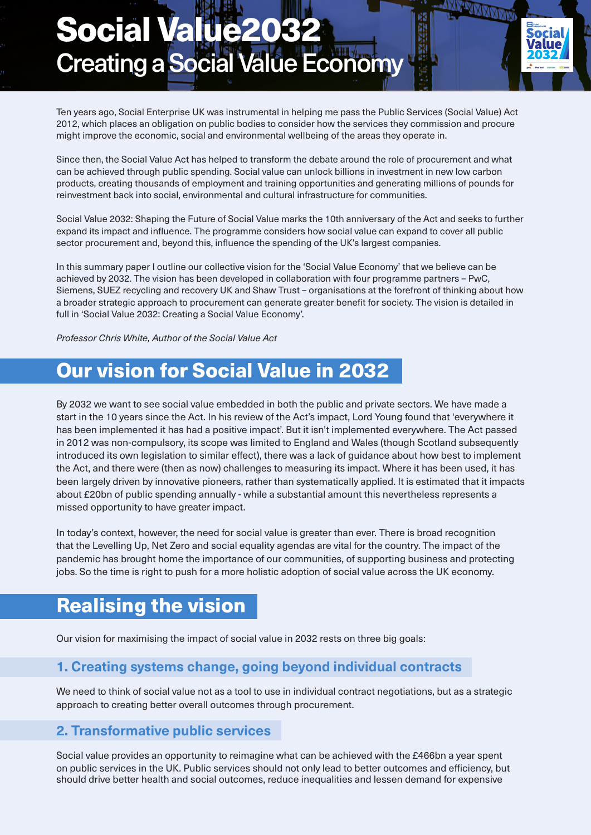# Creating a Social Value Economy Social Value203

Ten years ago, Social Enterprise UK was instrumental in helping me pass the Public Services (Social Value) Act 2012, which places an obligation on public bodies to consider how the services they commission and procure might improve the economic, social and environmental wellbeing of the areas they operate in.

ocia

Since then, the Social Value Act has helped to transform the debate around the role of procurement and what can be achieved through public spending. Social value can unlock billions in investment in new low carbon products, creating thousands of employment and training opportunities and generating millions of pounds for reinvestment back into social, environmental and cultural infrastructure for communities.

Social Value 2032: Shaping the Future of Social Value marks the 10th anniversary of the Act and seeks to further expand its impact and influence. The programme considers how social value can expand to cover all public sector procurement and, beyond this, influence the spending of the UK's largest companies.

In this summary paper I outline our collective vision for the 'Social Value Economy' that we believe can be achieved by 2032. The vision has been developed in collaboration with four programme partners – PwC, Siemens, SUEZ recycling and recovery UK and Shaw Trust – organisations at the forefront of thinking about how a broader strategic approach to procurement can generate greater benefit for society. The vision is detailed in full in 'Social Value 2032: Creating a Social Value Economy'.

*Professor Chris White, Author of the Social Value Act*

## Our vision for Social Value in 2032

By 2032 we want to see social value embedded in both the public and private sectors. We have made a start in the 10 years since the Act. In his review of the Act's impact, Lord Young found that 'everywhere it has been implemented it has had a positive impact'. But it isn't implemented everywhere. The Act passed in 2012 was non-compulsory, its scope was limited to England and Wales (though Scotland subsequently introduced its own legislation to similar effect), there was a lack of guidance about how best to implement the Act, and there were (then as now) challenges to measuring its impact. Where it has been used, it has been largely driven by innovative pioneers, rather than systematically applied. It is estimated that it impacts about £20bn of public spending annually - while a substantial amount this nevertheless represents a missed opportunity to have greater impact.

In today's context, however, the need for social value is greater than ever. There is broad recognition that the Levelling Up, Net Zero and social equality agendas are vital for the country. The impact of the pandemic has brought home the importance of our communities, of supporting business and protecting jobs. So the time is right to push for a more holistic adoption of social value across the UK economy.

## Realising the vision

Our vision for maximising the impact of social value in 2032 rests on three big goals:

#### **1. Creating systems change, going beyond individual contracts**

We need to think of social value not as a tool to use in individual contract negotiations, but as a strategic approach to creating better overall outcomes through procurement.

#### **2. Transformative public services**

Social value provides an opportunity to reimagine what can be achieved with the £466bn a year spent on public services in the UK. Public services should not only lead to better outcomes and efficiency, but should drive better health and social outcomes, reduce inequalities and lessen demand for expensive